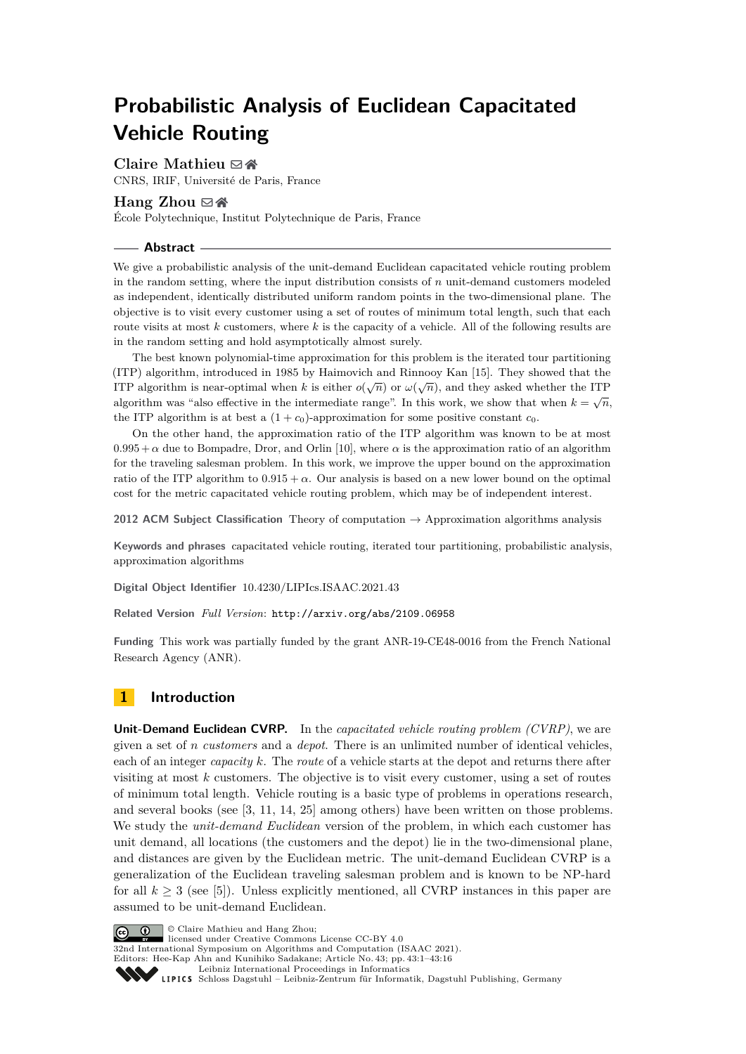# **Probabilistic Analysis of Euclidean Capacitated Vehicle Routing**

### **Claire Mathieu** ⊠ <del>⋒</del>

CNRS, IRIF, Université de Paris, France

# **Hang Zhou** [#](mailto:hzhou@lix.polytechnique.fr) [Ñ](http://www.normalesup.org/~zhou/)

École Polytechnique, Institut Polytechnique de Paris, France

### **Abstract**

We give a probabilistic analysis of the unit-demand Euclidean capacitated vehicle routing problem in the random setting, where the input distribution consists of *n* unit-demand customers modeled as independent, identically distributed uniform random points in the two-dimensional plane. The objective is to visit every customer using a set of routes of minimum total length, such that each route visits at most *k* customers, where *k* is the capacity of a vehicle. All of the following results are in the random setting and hold asymptotically almost surely.

The best known polynomial-time approximation for this problem is the iterated tour partitioning (ITP) algorithm, introduced in 1985 by Haimovich and Rinnooy Kan [\[15\]](#page-15-0). They showed that the ITP algorithm is near-optimal when *k* is either  $o(\sqrt{n})$  or  $\omega(\sqrt{n})$ , and they asked whether the ITP algorithm is near-optimal when *k* is either  $o(\sqrt{n})$  or  $\omega(\sqrt{n})$ , and they asked whether the ITP algorithm was "also effective in the intermediate range". In this work, we show that when  $k = \sqrt{n}$ , the ITP algorithm is at best a  $(1 + c_0)$ -approximation for some positive constant  $c_0$ .

On the other hand, the approximation ratio of the ITP algorithm was known to be at most  $0.995 + \alpha$  due to Bompadre, Dror, and Orlin [\[10\]](#page-15-1), where  $\alpha$  is the approximation ratio of an algorithm for the traveling salesman problem. In this work, we improve the upper bound on the approximation ratio of the ITP algorithm to  $0.915 + \alpha$ . Our analysis is based on a new lower bound on the optimal cost for the metric capacitated vehicle routing problem, which may be of independent interest.

**2012 ACM Subject Classification** Theory of computation → Approximation algorithms analysis

**Keywords and phrases** capacitated vehicle routing, iterated tour partitioning, probabilistic analysis, approximation algorithms

**Digital Object Identifier** [10.4230/LIPIcs.ISAAC.2021.43](https://doi.org/10.4230/LIPIcs.ISAAC.2021.43)

**Related Version** *Full Version*: <http://arxiv.org/abs/2109.06958>

**Funding** This work was partially funded by the grant ANR-19-CE48-0016 from the French National Research Agency (ANR).

# **1 Introduction**

**Unit-Demand Euclidean CVRP.** In the *capacitated vehicle routing problem (CVRP)*, we are given a set of *n customers* and a *depot*. There is an unlimited number of identical vehicles, each of an integer *capacity k*. The *route* of a vehicle starts at the depot and returns there after visiting at most *k* customers. The objective is to visit every customer, using a set of routes of minimum total length. Vehicle routing is a basic type of problems in operations research, and several books (see [\[3,](#page-14-0) [11,](#page-15-2) [14,](#page-15-3) [25\]](#page-15-4) among others) have been written on those problems. We study the *unit-demand Euclidean* version of the problem, in which each customer has unit demand, all locations (the customers and the depot) lie in the two-dimensional plane, and distances are given by the Euclidean metric. The unit-demand Euclidean CVRP is a generalization of the Euclidean traveling salesman problem and is known to be NP-hard for all  $k \geq 3$  (see [\[5\]](#page-14-1)). Unless explicitly mentioned, all CVRP instances in this paper are assumed to be unit-demand Euclidean.



© Claire Mathieu and Hang Zhou;

 $\boxed{6}$  0 licensed under Creative Commons License CC-BY 4.0

32nd International Symposium on Algorithms and Computation (ISAAC 2021). Editors: Hee-Kap Ahn and Kunihiko Sadakane; Article No. 43; pp. 43:1–43:16

[Leibniz International Proceedings in Informatics](https://www.dagstuhl.de/lipics/)

Leibniz international riveredings in miximetrix<br>
LIPICS [Schloss Dagstuhl – Leibniz-Zentrum für Informatik, Dagstuhl Publishing, Germany](https://www.dagstuhl.de)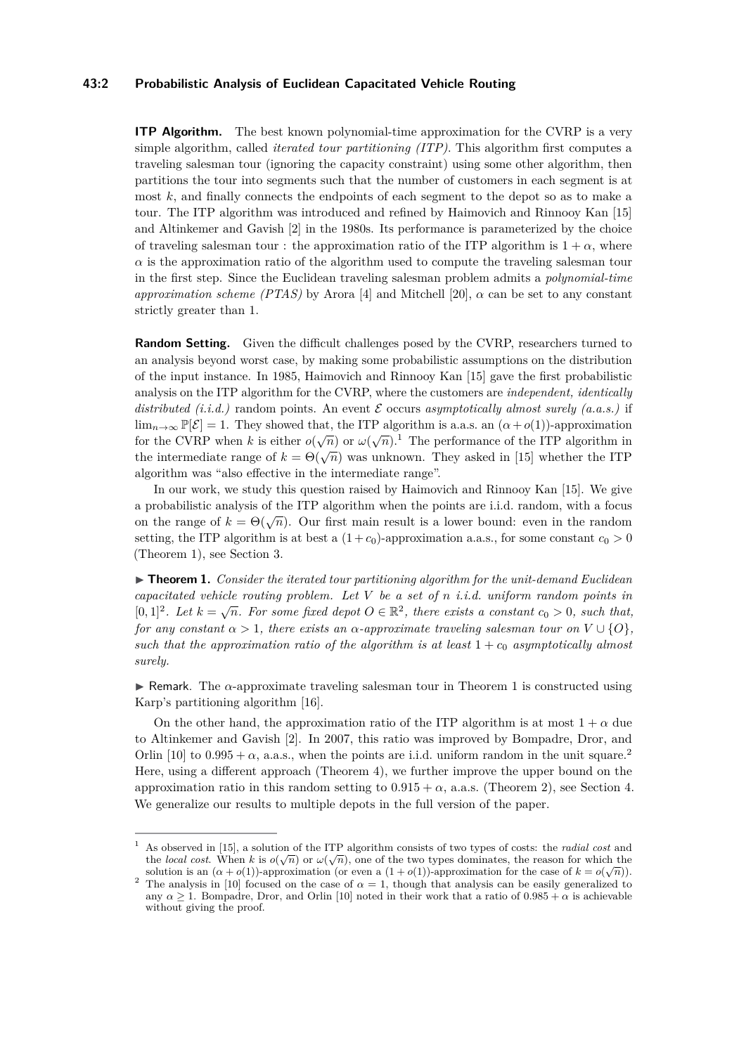### **43:2 Probabilistic Analysis of Euclidean Capacitated Vehicle Routing**

**ITP Algorithm.** The best known polynomial-time approximation for the CVRP is a very simple algorithm, called *iterated tour partitioning (ITP)*. This algorithm first computes a traveling salesman tour (ignoring the capacity constraint) using some other algorithm, then partitions the tour into segments such that the number of customers in each segment is at most *k*, and finally connects the endpoints of each segment to the depot so as to make a tour. The ITP algorithm was introduced and refined by Haimovich and Rinnooy Kan [\[15\]](#page-15-0) and Altinkemer and Gavish [\[2\]](#page-14-2) in the 1980s. Its performance is parameterized by the choice of traveling salesman tour : the approximation ratio of the ITP algorithm is  $1 + \alpha$ , where  $\alpha$  is the approximation ratio of the algorithm used to compute the traveling salesman tour in the first step. Since the Euclidean traveling salesman problem admits a *polynomial-time approximation scheme (PTAS)* by Arora [\[4\]](#page-14-3) and Mitchell [\[20\]](#page-15-5),  $\alpha$  can be set to any constant strictly greater than 1.

**Random Setting.** Given the difficult challenges posed by the CVRP, researchers turned to an analysis beyond worst case, by making some probabilistic assumptions on the distribution of the input instance. In 1985, Haimovich and Rinnooy Kan [\[15\]](#page-15-0) gave the first probabilistic analysis on the ITP algorithm for the CVRP, where the customers are *independent, identically distributed (i.i.d.)* random points. An event  $\mathcal E$  occurs *asymptotically almost surely (a.a.s.)* if  $\lim_{n\to\infty}$   $\mathbb{P}[\mathcal{E}] = 1$ . They showed that, the ITP algorithm is a.a.s. an  $(\alpha + o(1))$ -approximation  $\lim_{n\to\infty} \frac{d}{n}$  [*c*] – [1](#page-1-0). They showed that, the 111 algorithm is a.a.s. an  $(a + o(1))$ -approximation for the CVRP when *k* is either  $o(\sqrt{n})$  or  $\omega(\sqrt{n})$ .<sup>1</sup> The performance of the ITP algorithm in the intermediate range of  $k = \Theta(\sqrt{n})$  was unknown. They asked in [\[15\]](#page-15-0) whether the ITP algorithm was "also effective in the intermediate range".

In our work, we study this question raised by Haimovich and Rinnooy Kan [\[15\]](#page-15-0). We give a probabilistic analysis of the ITP algorithm when the points are i.i.d. random, with a focus on the range of  $k = \Theta(\sqrt{n})$ . Our first main result is a lower bound: even in the random setting, the ITP algorithm is at best a  $(1 + c_0)$ -approximation a.a.s., for some constant  $c_0 > 0$ (Theorem [1\)](#page-1-1), see Section [3.](#page-4-0)

<span id="page-1-1"></span>▶ **Theorem 1.** *Consider the iterated tour partitioning algorithm for the unit-demand Euclidean capacitated vehicle routing problem. Let V be a set of n i.i.d. uniform random points in*  $[0,1]^2$ . Let  $k = \sqrt{n}$ . For some fixed depot  $O \in \mathbb{R}^2$ , there exists a constant  $c_0 > 0$ , such that, *for any constant*  $\alpha > 1$ *, there exists an*  $\alpha$ -*approximate traveling salesman tour on*  $V \cup \{O\}$ *,* such that the approximation ratio of the algorithm is at least  $1 + c_0$  asymptotically almost *surely.*

 $\triangleright$  Remark. The  $\alpha$ -approximate traveling salesman tour in Theorem [1](#page-1-1) is constructed using Karp's partitioning algorithm [\[16\]](#page-15-6).

On the other hand, the approximation ratio of the ITP algorithm is at most  $1 + \alpha$  due to Altinkemer and Gavish [\[2\]](#page-14-2). In 2007, this ratio was improved by Bompadre, Dror, and Orlin [\[10\]](#page-15-1) to  $0.995 + \alpha$ , a.a.s., when the points are i.i.d. uniform random in the unit square.<sup>[2](#page-1-2)</sup> Here, using a different approach (Theorem [4\)](#page-4-1), we further improve the upper bound on the approximation ratio in this random setting to  $0.915 + \alpha$ , a.a.s. (Theorem [2\)](#page-1-3), see Section [4.](#page-10-0) We generalize our results to multiple depots in the full version of the paper.

<span id="page-1-3"></span><span id="page-1-0"></span><sup>&</sup>lt;sup>1</sup> As observed in [\[15\]](#page-15-0), a solution of the ITP algorithm consists of two types of costs: the *radial cost* and the *local cost*. When *k* is  $o(\sqrt{n})$  or  $\omega(\sqrt{n})$ , one of the two types dominates, the reason for which the solution is an  $(\alpha + o(1))$ -approximation (or even a  $(1 + o(1))$ -approximation for the case of  $k = o(\sqrt{n})$ ).

<span id="page-1-2"></span><sup>&</sup>lt;sup>2</sup> The analysis in [\[10\]](#page-15-1) focused on the case of  $\alpha = 1$ , though that analysis can be easily generalized to any  $\alpha > 1$ . Bompadre, Dror, and Orlin [\[10\]](#page-15-1) noted in their work that a ratio of 0.985 +  $\alpha$  is achievable without giving the proof.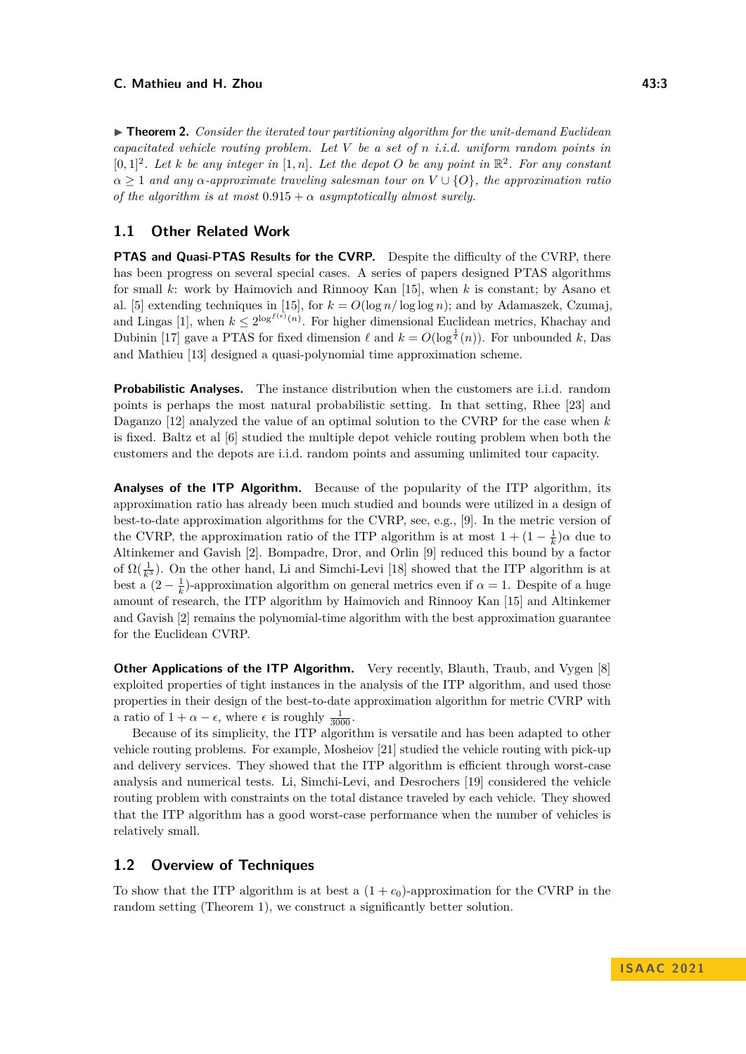▶ **Theorem 2.** *Consider the iterated tour partitioning algorithm for the unit-demand Euclidean capacitated vehicle routing problem. Let V be a set of n i.i.d. uniform random points in*  $[0,1]^2$ *. Let k be any integer in*  $[1,n]$ *. Let the depot O be any point in*  $\mathbb{R}^2$ *. For any constant*  $\alpha \geq 1$  *and any*  $\alpha$ -*approximate traveling salesman tour on*  $V \cup \{O\}$ *, the approximation ratio of the algorithm is at most*  $0.915 + \alpha$  *asymptotically almost surely.* 

### **1.1 Other Related Work**

**PTAS and Quasi-PTAS Results for the CVRP.** Despite the difficulty of the CVRP, there has been progress on several special cases. A series of papers designed PTAS algorithms for small *k*: work by Haimovich and Rinnooy Kan [\[15\]](#page-15-0), when *k* is constant; by Asano et al. [\[5\]](#page-14-1) extending techniques in [\[15\]](#page-15-0), for  $k = O(\log n / \log \log n)$ ; and by Adamaszek, Czumaj, and Lingas [\[1\]](#page-14-4), when  $k \leq 2^{\log^{f(\epsilon)}(n)}$ . For higher dimensional Euclidean metrics, Khachay and Dubinin [\[17\]](#page-15-7) gave a PTAS for fixed dimension  $\ell$  and  $k = O(\log^{\frac{1}{\ell}}(n))$ . For unbounded k, Das and Mathieu [\[13\]](#page-15-8) designed a quasi-polynomial time approximation scheme.

**Probabilistic Analyses.** The instance distribution when the customers are i.i.d. random points is perhaps the most natural probabilistic setting. In that setting, Rhee [\[23\]](#page-15-9) and Daganzo [\[12\]](#page-15-10) analyzed the value of an optimal solution to the CVRP for the case when *k* is fixed. Baltz et al [\[6\]](#page-14-5) studied the multiple depot vehicle routing problem when both the customers and the depots are i.i.d. random points and assuming unlimited tour capacity.

**Analyses of the ITP Algorithm.** Because of the popularity of the ITP algorithm, its approximation ratio has already been much studied and bounds were utilized in a design of best-to-date approximation algorithms for the CVRP, see, e.g., [\[9\]](#page-15-11). In the metric version of the CVRP, the approximation ratio of the ITP algorithm is at most  $1 + (1 - \frac{1}{k})\alpha$  due to Altinkemer and Gavish [\[2\]](#page-14-2). Bompadre, Dror, and Orlin [\[9\]](#page-15-11) reduced this bound by a factor of  $\Omega(\frac{1}{k^3})$ . On the other hand, Li and Simchi-Levi [\[18\]](#page-15-12) showed that the ITP algorithm is at best a  $(2 - \frac{1}{k})$ -approximation algorithm on general metrics even if  $\alpha = 1$ . Despite of a huge amount of research, the ITP algorithm by Haimovich and Rinnooy Kan [\[15\]](#page-15-0) and Altinkemer and Gavish [\[2\]](#page-14-2) remains the polynomial-time algorithm with the best approximation guarantee for the Euclidean CVRP.

**Other Applications of the ITP Algorithm.** Very recently, Blauth, Traub, and Vygen [\[8\]](#page-15-13) exploited properties of tight instances in the analysis of the ITP algorithm, and used those properties in their design of the best-to-date approximation algorithm for metric CVRP with a ratio of  $1 + \alpha - \epsilon$ , where  $\epsilon$  is roughly  $\frac{1}{3000}$ .

Because of its simplicity, the ITP algorithm is versatile and has been adapted to other vehicle routing problems. For example, Mosheiov [\[21\]](#page-15-14) studied the vehicle routing with pick-up and delivery services. They showed that the ITP algorithm is efficient through worst-case analysis and numerical tests. Li, Simchi-Levi, and Desrochers [\[19\]](#page-15-15) considered the vehicle routing problem with constraints on the total distance traveled by each vehicle. They showed that the ITP algorithm has a good worst-case performance when the number of vehicles is relatively small.

# **1.2 Overview of Techniques**

To show that the ITP algorithm is at best a  $(1 + c_0)$ -approximation for the CVRP in the random setting (Theorem [1\)](#page-1-1), we construct a significantly better solution.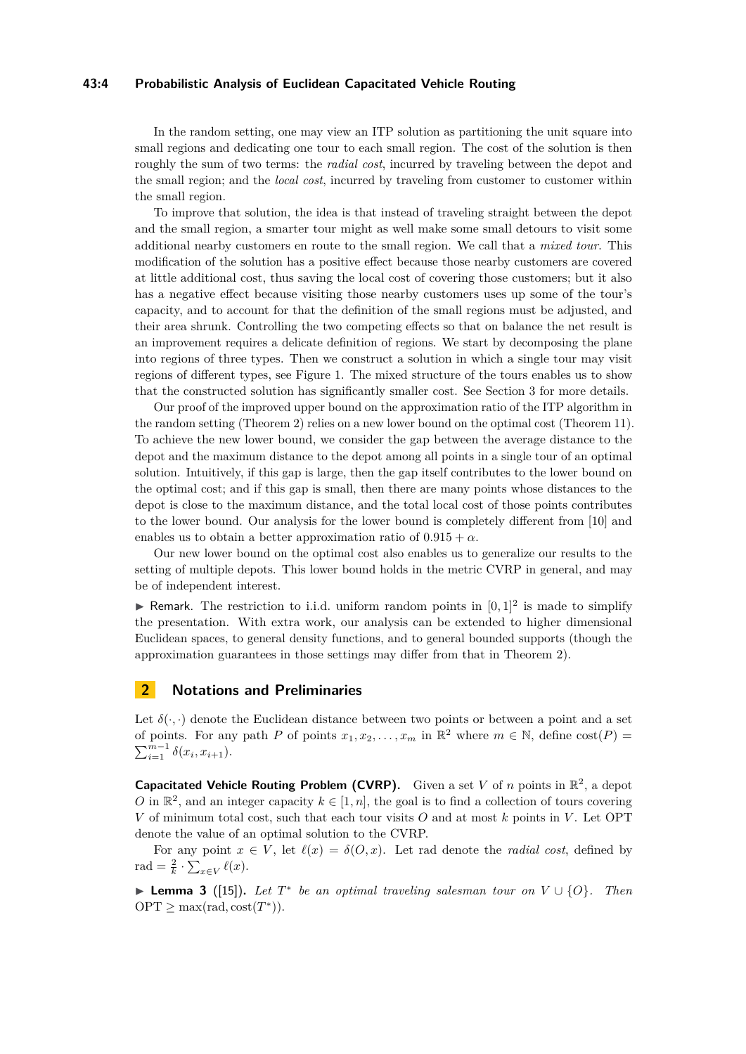### **43:4 Probabilistic Analysis of Euclidean Capacitated Vehicle Routing**

In the random setting, one may view an ITP solution as partitioning the unit square into small regions and dedicating one tour to each small region. The cost of the solution is then roughly the sum of two terms: the *radial cost*, incurred by traveling between the depot and the small region; and the *local cost*, incurred by traveling from customer to customer within the small region.

To improve that solution, the idea is that instead of traveling straight between the depot and the small region, a smarter tour might as well make some small detours to visit some additional nearby customers en route to the small region. We call that a *mixed tour*. This modification of the solution has a positive effect because those nearby customers are covered at little additional cost, thus saving the local cost of covering those customers; but it also has a negative effect because visiting those nearby customers uses up some of the tour's capacity, and to account for that the definition of the small regions must be adjusted, and their area shrunk. Controlling the two competing effects so that on balance the net result is an improvement requires a delicate definition of regions. We start by decomposing the plane into regions of three types. Then we construct a solution in which a single tour may visit regions of different types, see Figure [1.](#page-7-0) The mixed structure of the tours enables us to show that the constructed solution has significantly smaller cost. See Section [3](#page-4-0) for more details.

Our proof of the improved upper bound on the approximation ratio of the ITP algorithm in the random setting (Theorem [2\)](#page-1-3) relies on a new lower bound on the optimal cost (Theorem [11\)](#page-11-0). To achieve the new lower bound, we consider the gap between the average distance to the depot and the maximum distance to the depot among all points in a single tour of an optimal solution. Intuitively, if this gap is large, then the gap itself contributes to the lower bound on the optimal cost; and if this gap is small, then there are many points whose distances to the depot is close to the maximum distance, and the total local cost of those points contributes to the lower bound. Our analysis for the lower bound is completely different from [\[10\]](#page-15-1) and enables us to obtain a better approximation ratio of  $0.915 + \alpha$ .

Our new lower bound on the optimal cost also enables us to generalize our results to the setting of multiple depots. This lower bound holds in the metric CVRP in general, and may be of independent interest.

 $\blacktriangleright$  Remark. The restriction to i.i.d. uniform random points in  $[0,1]^2$  is made to simplify the presentation. With extra work, our analysis can be extended to higher dimensional Euclidean spaces, to general density functions, and to general bounded supports (though the approximation guarantees in those settings may differ from that in Theorem [2\)](#page-1-3).

# **2 Notations and Preliminaries**

Let  $\delta(\cdot, \cdot)$  denote the Euclidean distance between two points or between a point and a set of points. For any path *P* of points  $x_1, x_2, \ldots, x_m$  in  $\mathbb{R}^2$  where  $m \in \mathbb{N}$ , define  $cost(P)$  $\sum_{i=1}^{m-1} \delta(x_i, x_{i+1}).$ 

**Capacitated Vehicle Routing Problem (CVRP).** Given a set *V* of *n* points in  $\mathbb{R}^2$ , a depot *O* in  $\mathbb{R}^2$ , and an integer capacity  $k \in [1, n]$ , the goal is to find a collection of tours covering *V* of minimum total cost, such that each tour visits *O* and at most *k* points in *V* . Let OPT denote the value of an optimal solution to the CVRP.

For any point  $x \in V$ , let  $\ell(x) = \delta(O, x)$ . Let rad denote the *radial cost*, defined by rad =  $\frac{2}{k} \cdot \sum_{x \in V} \ell(x)$ .

<span id="page-3-0"></span>▶ **Lemma 3** ([\[15\]](#page-15-0))**.** *Let T* ∗ *be an optimal traveling salesman tour on V* ∪ {*O*}*. Then*  $OPT \ge \max(\text{rad}, \text{cost}(T^*))$ .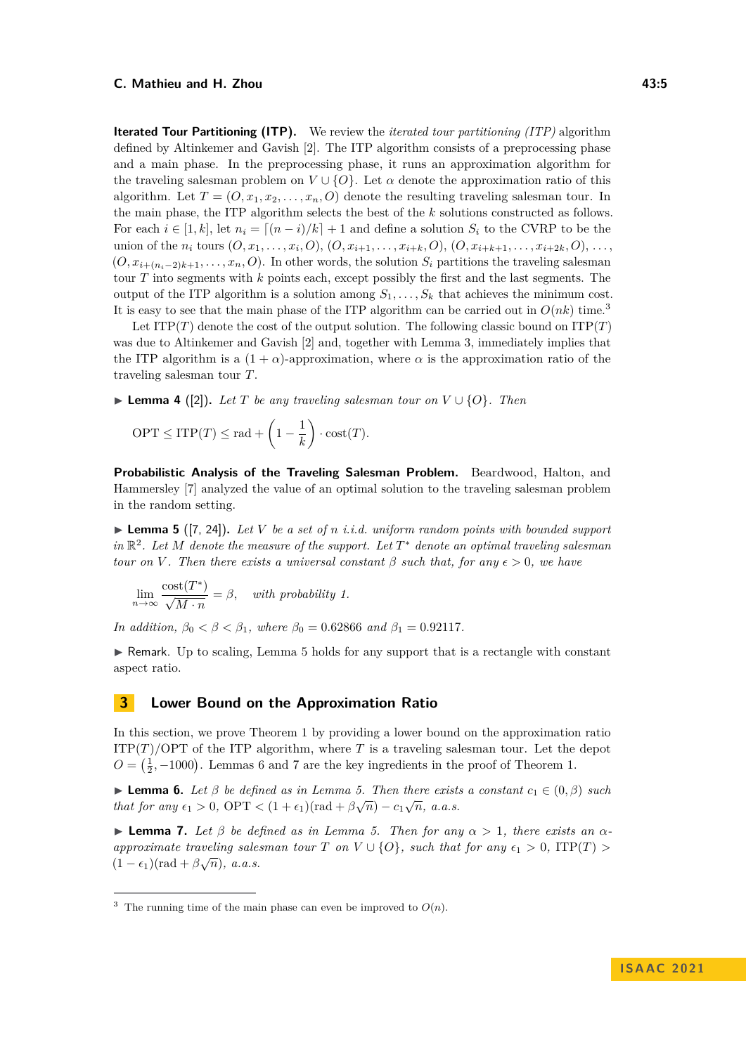### **C.** Mathieu and H. Zhou **43:5 C.** Mathieu and H. Zhou

**Iterated Tour Partitioning (ITP).** We review the *iterated tour partitioning (ITP)* algorithm defined by Altinkemer and Gavish [\[2\]](#page-14-2). The ITP algorithm consists of a preprocessing phase and a main phase. In the preprocessing phase, it runs an approximation algorithm for the traveling salesman problem on  $V \cup \{O\}$ . Let  $\alpha$  denote the approximation ratio of this algorithm. Let  $T = (O, x_1, x_2, \ldots, x_n, O)$  denote the resulting traveling salesman tour. In the main phase, the ITP algorithm selects the best of the *k* solutions constructed as follows. For each  $i \in [1, k]$ , let  $n_i = [(n - i)/k] + 1$  and define a solution  $S_i$  to the CVRP to be the union of the  $n_i$  tours  $(O, x_1, \ldots, x_i, O), (O, x_{i+1}, \ldots, x_{i+k}, O), (O, x_{i+k+1}, \ldots, x_{i+2k}, O), \ldots$  $(O, x_{i+(n_i-2)k+1}, \ldots, x_n, O)$ . In other words, the solution  $S_i$  partitions the traveling salesman tour *T* into segments with *k* points each, except possibly the first and the last segments. The output of the ITP algorithm is a solution among  $S_1, \ldots, S_k$  that achieves the minimum cost. It is easy to see that the main phase of the ITP algorithm can be carried out in  $O(nk)$  time.<sup>[3](#page-4-2)</sup>

Let ITP $(T)$  denote the cost of the output solution. The following classic bound on ITP $(T)$ was due to Altinkemer and Gavish [\[2\]](#page-14-2) and, together with Lemma [3,](#page-3-0) immediately implies that the ITP algorithm is a  $(1 + \alpha)$ -approximation, where  $\alpha$  is the approximation ratio of the traveling salesman tour *T*.

<span id="page-4-1"></span>▶ **Lemma 4** ([\[2\]](#page-14-2)). Let *T* be any traveling salesman tour on  $V \cup \{O\}$ . Then

$$
\text{OPT} \le \text{ITP}(T) \le \text{rad} + \left(1 - \frac{1}{k}\right) \cdot \text{cost}(T).
$$

**Probabilistic Analysis of the Traveling Salesman Problem.** Beardwood, Halton, and Hammersley [\[7\]](#page-15-16) analyzed the value of an optimal solution to the traveling salesman problem in the random setting.

<span id="page-4-3"></span> $\blacktriangleright$  **Lemma 5** ([\[7,](#page-15-16) [24\]](#page-15-17)). Let V be a set of *n i.i.d.* uniform random points with bounded support *in* R 2 *. Let M denote the measure of the support. Let T* <sup>∗</sup> *denote an optimal traveling salesman tour on V*. Then there exists a universal constant  $\beta$  such that, for any  $\epsilon > 0$ , we have

$$
\lim_{n \to \infty} \frac{\text{cost}(T^*)}{\sqrt{M \cdot n}} = \beta, \quad \text{with probability } 1.
$$

*In addition,*  $\beta_0 < \beta < \beta_1$ *, where*  $\beta_0 = 0.62866$  *and*  $\beta_1 = 0.92117$ *.* 

 $\triangleright$  Remark. Up to scaling, Lemma [5](#page-4-3) holds for any support that is a rectangle with constant aspect ratio.

# <span id="page-4-0"></span>**3 Lower Bound on the Approximation Ratio**

In this section, we prove Theorem [1](#page-1-1) by providing a lower bound on the approximation ratio  $ITP(T)/OPT$  of the ITP algorithm, where *T* is a traveling salesman tour. Let the depot  $O = \left(\frac{1}{2}, -1000\right)$ . Lemmas [6](#page-4-4) and [7](#page-4-5) are the key ingredients in the proof of Theorem [1.](#page-1-1)

<span id="page-4-4"></span>**► Lemma 6.** Let  $\beta$  be defined as in Lemma [5.](#page-4-3) Then there exists a constant  $c_1 \in (0, \beta)$  such *that for any*  $\epsilon_1 > 0$ ,  $\text{OPT} < (1 + \epsilon_1)(\text{rad} + \beta \sqrt{n}) - c_1 \sqrt{n}$ , *a.a.s.* 

<span id="page-4-5"></span> $\blacktriangleright$  **Lemma 7.** *Let*  $\beta$  *be defined as in Lemma [5.](#page-4-3) Then for any*  $\alpha > 1$ *, there exists an*  $\alpha$ *approximate traveling salesman tour T on*  $V \cup \{O\}$ *, such that for any*  $\epsilon_1 > 0$ ,  $ITP(T) > (1-\epsilon)$  $(1 - \epsilon_1)(\text{rad} + \beta\sqrt{n}), \ a.a.s.$ 

<span id="page-4-2"></span><sup>&</sup>lt;sup>3</sup> The running time of the main phase can even be improved to  $O(n)$ .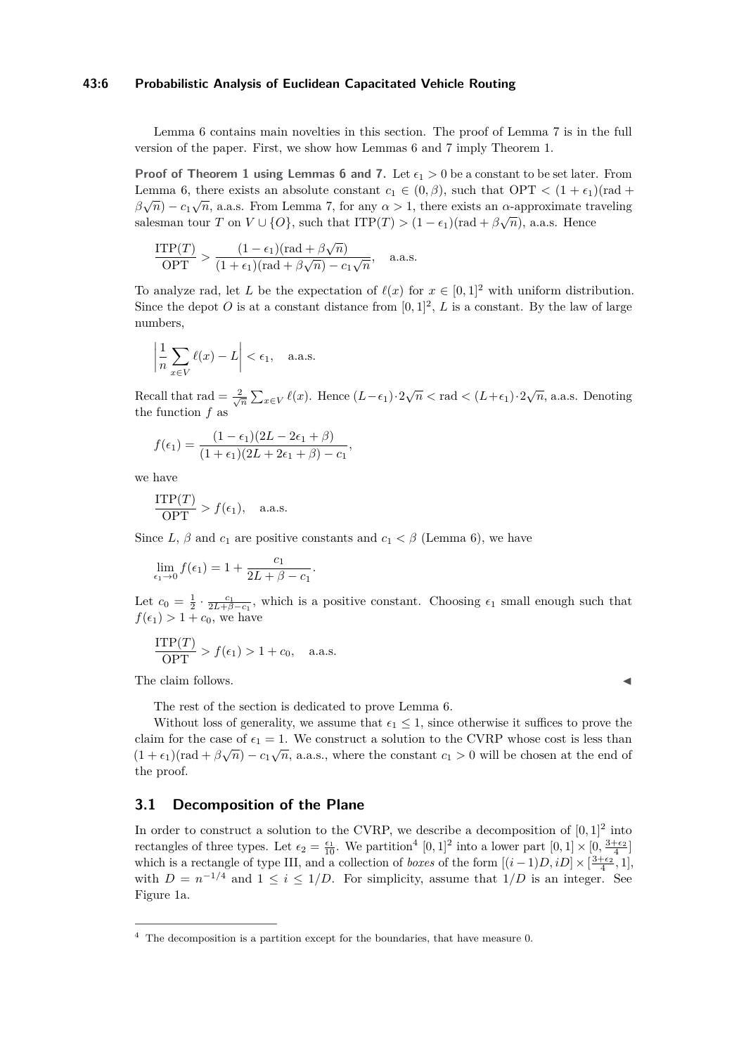### **43:6 Probabilistic Analysis of Euclidean Capacitated Vehicle Routing**

Lemma [6](#page-4-4) contains main novelties in this section. The proof of Lemma [7](#page-4-5) is in the full version of the paper. First, we show how Lemmas [6](#page-4-4) and [7](#page-4-5) imply Theorem [1.](#page-1-1)

**Proof of Theorem [1](#page-1-1) using Lemmas [6](#page-4-4) and [7.](#page-4-5)** Let  $\epsilon_1 > 0$  be a constant to be set later. From Lemma [6,](#page-4-4) there exists an absolute constant  $c_1 \in (0, \beta)$ , such that OPT  $\lt (1 + \epsilon_1)(\text{rad} + \beta_1)$  $\beta\sqrt{n}$ ) −  $c_1\sqrt{n}$ , a.a.s. From Lemma [7,](#page-4-5) for any  $\alpha > 1$ , there exists an  $\alpha$ -approximate traveling salesman tour *T* on  $V \cup \{O\}$ , such that  $ITP(T) > (1 - \epsilon_1)(\text{rad} + \beta\sqrt{n})$ , a.a.s. Hence

$$
\frac{\text{ITP}(T)}{\text{OPT}} > \frac{(1 - \epsilon_1)(\text{rad} + \beta\sqrt{n})}{(1 + \epsilon_1)(\text{rad} + \beta\sqrt{n}) - c_1\sqrt{n}}, \quad \text{a.a.s.}
$$

To analyze rad, let *L* be the expectation of  $\ell(x)$  for  $x \in [0,1]^2$  with uniform distribution. Since the depot O is at a constant distance from  $[0,1]^2$ , L is a constant. By the law of large numbers,

$$
\left|\frac{1}{n}\sum_{x\in V}\ell(x) - L\right| < \epsilon_1, \quad \text{a.a.s.}
$$

Recall that rad  $=\frac{2}{\sqrt{n}}\sum_{x\in V}\ell(x)$ . Hence  $(L-\epsilon_1)\cdot 2\sqrt{n} <$  rad  $\lt (L+\epsilon_1)\cdot 2\sqrt{n}$ , a.a.s. Denoting the function *f* as

$$
f(\epsilon_1) = \frac{(1 - \epsilon_1)(2L - 2\epsilon_1 + \beta)}{(1 + \epsilon_1)(2L + 2\epsilon_1 + \beta) - c_1},
$$

we have

$$
\frac{\text{ITP}(T)}{\text{OPT}} > f(\epsilon_1), \quad \text{a.a.s.}
$$

Since *L*,  $\beta$  and  $c_1$  are positive constants and  $c_1 < \beta$  (Lemma [6\)](#page-4-4), we have

$$
\lim_{\epsilon_1 \to 0} f(\epsilon_1) = 1 + \frac{c_1}{2L + \beta - c_1}.
$$

Let  $c_0 = \frac{1}{2} \cdot \frac{c_1}{2L+\beta-c_1}$ , which is a positive constant. Choosing  $\epsilon_1$  small enough such that  $f(\epsilon_1) > 1 + c_0$ , we have

$$
\frac{\text{ITP}(T)}{\text{OPT}} > f(\epsilon_1) > 1 + c_0, \quad \text{a.a.s.}
$$

The claim follows.

The rest of the section is dedicated to prove Lemma [6.](#page-4-4)

Without loss of generality, we assume that  $\epsilon_1 \leq 1$ , since otherwise it suffices to prove the claim for the case of  $\epsilon_1 = 1$ . We construct a solution to the CVRP whose cost is less than  $(1 + \epsilon_1)(\text{rad} + \beta\sqrt{n}) - c_1\sqrt{n}$ , a.a.s., where the constant  $c_1 > 0$  will be chosen at the end of the proof.

# **3.1 Decomposition of the Plane**

In order to construct a solution to the CVRP, we describe a decomposition of  $[0,1]^2$  into rectangles of three types. Let  $\epsilon_2 = \frac{\epsilon_1}{10}$ . We partition<sup>[4](#page-5-0)</sup> [0, 1]<sup>2</sup> into a lower part  $[0,1] \times [0, \frac{3+\epsilon_2}{4}]$ which is a rectangle of type III, and a collection of *boxes* of the form  $[(i-1)D, iD] \times \left[\frac{3+\epsilon_2}{4}, 1\right]$ , with  $D = n^{-1/4}$  and  $1 \leq i \leq 1/D$ . For simplicity, assume that  $1/D$  is an integer. See Figure [1a.](#page-7-0)

<span id="page-5-0"></span> $4$  The decomposition is a partition except for the boundaries, that have measure 0.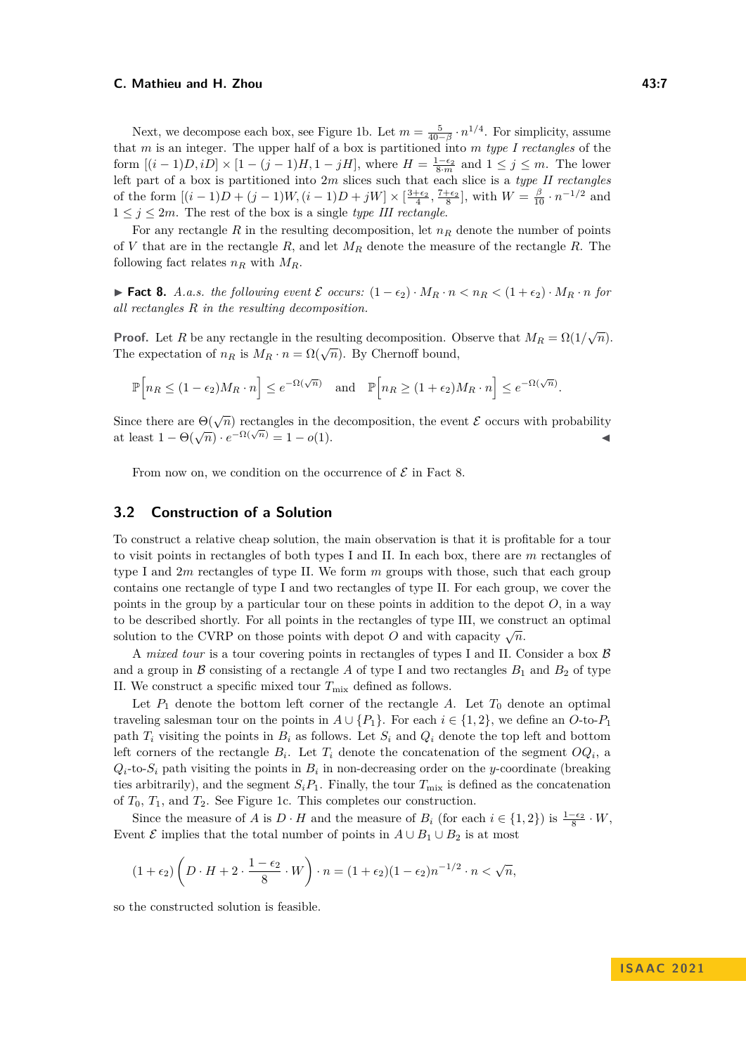Next, we decompose each box, see Figure [1b.](#page-7-0) Let  $m = \frac{5}{40-\beta} \cdot n^{1/4}$ . For simplicity, assume that *m* is an integer. The upper half of a box is partitioned into *m type I rectangles* of the form  $[(i-1)D, iD] \times [1-(j-1)H, 1-jH]$ , where  $H = \frac{1-\epsilon_2}{8 \cdot m}$  and  $1 \le j \le m$ . The lower left part of a box is partitioned into 2*m* slices such that each slice is a *type II rectangles* of the form  $[(i-1)D+(j-1)W, (i-1)D+jW] \times \left[\frac{3+\epsilon_2}{4}, \frac{7+\epsilon_2}{8}\right]$ , with  $W = \frac{\beta}{10} \cdot n^{-1/2}$  and  $1 \leq j \leq 2m$ . The rest of the box is a single *type III rectangle*.

For any rectangle  $R$  in the resulting decomposition, let  $n<sub>R</sub>$  denote the number of points of *V* that are in the rectangle *R*, and let *M<sup>R</sup>* denote the measure of the rectangle *R*. The following fact relates  $n_R$  with  $M_R$ .

<span id="page-6-0"></span>▶ **Fact 8.** *A.a.s. the following event*  $\mathcal{E}$  *occurs:*  $(1 - \epsilon_2) \cdot M_R \cdot n < n_R < (1 + \epsilon_2) \cdot M_R \cdot n$  *for all rectangles R in the resulting decomposition.*

**Proof.** Let *R* be any rectangle in the resulting decomposition. Observe that  $M_R = \Omega(1/\sqrt{n})$ . The expectation of  $n_R$  is  $M_R \cdot n = \Omega(\sqrt{n})$ . By Chernoff bound,

$$
\mathbb{P}\Big[n_R \le (1 - \epsilon_2)M_R \cdot n\Big] \le e^{-\Omega(\sqrt{n})} \quad \text{and} \quad \mathbb{P}\Big[n_R \ge (1 + \epsilon_2)M_R \cdot n\Big] \le e^{-\Omega(\sqrt{n})}.
$$

Since there are  $\Theta(\sqrt{n})$  rectangles in the decomposition, the event  $\mathcal E$  occurs with probability at least  $1 - \Theta(\sqrt{n}) \cdot e^{-\Omega(\sqrt{n})} = 1 - o(1)$ .

From now on, we condition on the occurrence of  $\mathcal E$  in Fact [8.](#page-6-0)

# <span id="page-6-1"></span>**3.2 Construction of a Solution**

To construct a relative cheap solution, the main observation is that it is profitable for a tour to visit points in rectangles of both types I and II. In each box, there are *m* rectangles of type I and 2*m* rectangles of type II. We form *m* groups with those, such that each group contains one rectangle of type I and two rectangles of type II. For each group, we cover the points in the group by a particular tour on these points in addition to the depot *O*, in a way to be described shortly. For all points in the rectangles of type III, we construct an optimal solution to the CVRP on those points with depot *O* and with capacity  $\sqrt{n}$ .

A *mixed tour* is a tour covering points in rectangles of types I and II. Consider a box B and a group in  $\beta$  consisting of a rectangle  $\beta$  of type I and two rectangles  $B_1$  and  $B_2$  of type II. We construct a specific mixed tour  $T_{\text{mix}}$  defined as follows.

Let  $P_1$  denote the bottom left corner of the rectangle  $A$ . Let  $T_0$  denote an optimal traveling salesman tour on the points in  $A \cup \{P_1\}$ . For each  $i \in \{1,2\}$ , we define an *O*-to- $P_1$ path  $T_i$  visiting the points in  $B_i$  as follows. Let  $S_i$  and  $Q_i$  denote the top left and bottom left corners of the rectangle  $B_i$ . Let  $T_i$  denote the concatenation of the segment  $OQ_i$ , a  $Q_i$ -to- $S_i$  path visiting the points in  $B_i$  in non-decreasing order on the *y*-coordinate (breaking ties arbitrarily), and the segment  $S_i P_1$ . Finally, the tour  $T_{\text{mix}}$  is defined as the concatenation of  $T_0$ ,  $T_1$ , and  $T_2$ . See Figure [1c.](#page-7-0) This completes our construction.

Since the measure of *A* is  $D \cdot H$  and the measure of  $B_i$  (for each  $i \in \{1,2\}$ ) is  $\frac{1-\epsilon_2}{8} \cdot W$ , Event  $\mathcal E$  implies that the total number of points in  $A \cup B_1 \cup B_2$  is at most

$$
(1+\epsilon_2)\left(D \cdot H + 2 \cdot \frac{1-\epsilon_2}{8} \cdot W\right) \cdot n = (1+\epsilon_2)(1-\epsilon_2)n^{-1/2} \cdot n < \sqrt{n},
$$

so the constructed solution is feasible.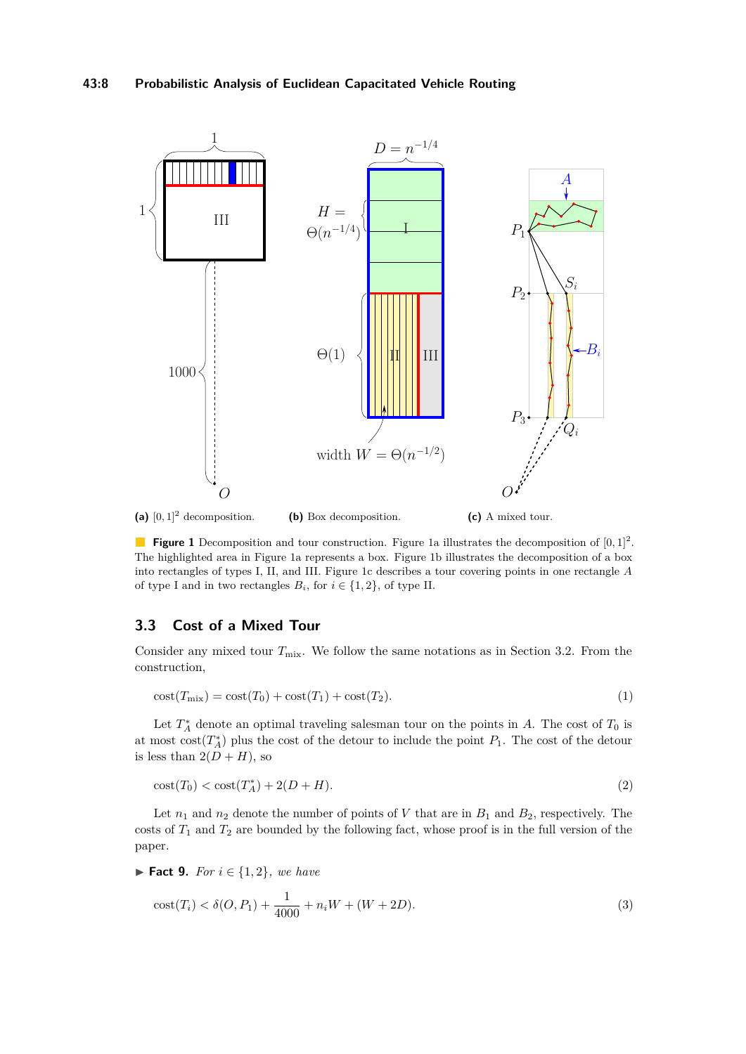<span id="page-7-0"></span>

**Figure 1** Decomposition and tour construction. Figure [1a](#page-7-0) illustrates the decomposition of  $[0, 1]^2$ . The highlighted area in Figure [1a](#page-7-0) represents a box. Figure [1b](#page-7-0) illustrates the decomposition of a box into rectangles of types I, II, and III. Figure [1c](#page-7-0) describes a tour covering points in one rectangle *A* of type I and in two rectangles  $B_i$ , for  $i \in \{1, 2\}$ , of type II.

# **3.3 Cost of a Mixed Tour**

Consider any mixed tour  $T_{\text{mix}}$ . We follow the same notations as in Section [3.2.](#page-6-1) From the construction,

<span id="page-7-1"></span>
$$
cost(T_{mix}) = cost(T_0) + cost(T_1) + cost(T_2). \tag{1}
$$

Let  $T_A^*$  denote an optimal traveling salesman tour on the points in *A*. The cost of  $T_0$  is at most  $\text{cost}(T_A^*)$  plus the cost of the detour to include the point  $P_1$ . The cost of the detour is less than  $2(D+H)$ , so

$$
cost(T_0) < cost(T_A^*) + 2(D + H). \tag{2}
$$

Let  $n_1$  and  $n_2$  denote the number of points of *V* that are in  $B_1$  and  $B_2$ , respectively. The costs of  $T_1$  and  $T_2$  are bounded by the following fact, whose proof is in the full version of the paper.

▶ **Fact 9.** *For*  $i \in \{1, 2\}$ *, we have* 

<span id="page-7-2"></span>
$$
cost(Ti) < \delta(O, P1) + \frac{1}{4000} + niW + (W + 2D).
$$
\n(3)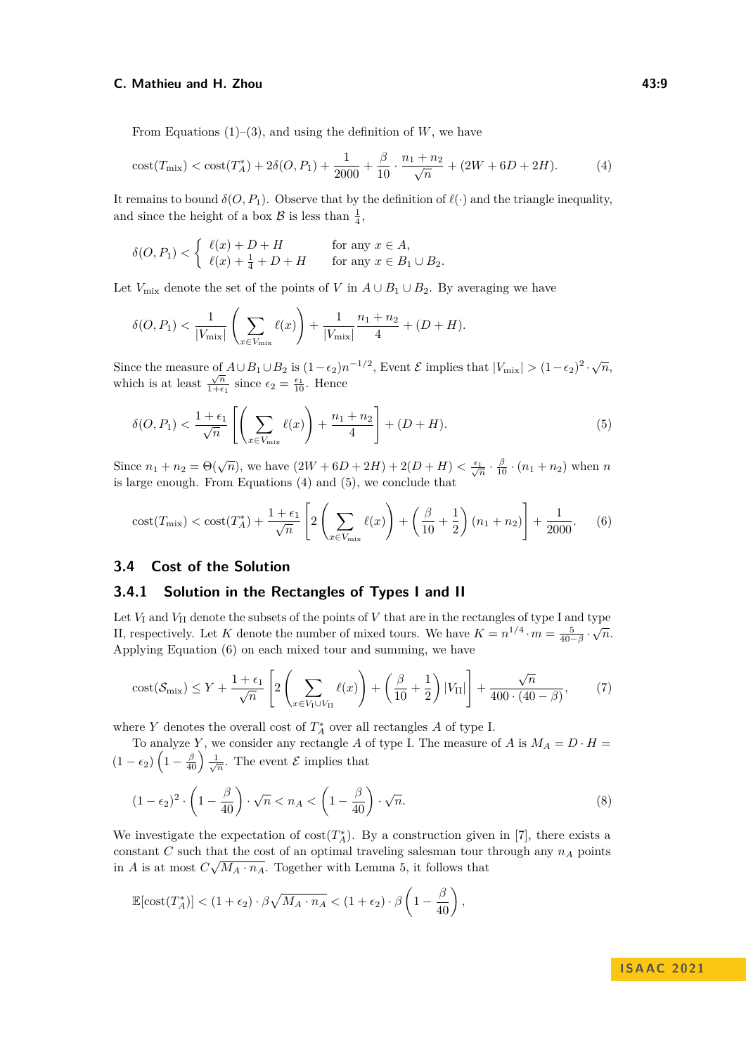### **C.** Mathieu and H. Zhou **43:9 12:43:9 12:43:9 12:43:9**

From Equations  $(1)$ – $(3)$ , and using the definition of *W*, we have

<span id="page-8-0"></span>
$$
\cot(T_{\text{mix}}) < \cot(T_A^*) + 2\delta(O, P_1) + \frac{1}{2000} + \frac{\beta}{10} \cdot \frac{n_1 + n_2}{\sqrt{n}} + (2W + 6D + 2H). \tag{4}
$$

It remains to bound  $\delta(O, P_1)$ . Observe that by the definition of  $\ell(\cdot)$  and the triangle inequality, and since the height of a box  $\mathcal{B}$  is less than  $\frac{1}{4}$ ,

$$
\delta(O, P_1) < \begin{cases} \ell(x) + D + H & \text{for any } x \in A, \\ \ell(x) + \frac{1}{4} + D + H & \text{for any } x \in B_1 \cup B_2. \end{cases}
$$

Let  $V_{\text{mix}}$  denote the set of the points of *V* in  $A \cup B_1 \cup B_2$ . By averaging we have

$$
\delta(O, P_1) < \frac{1}{|V_{\text{mix}}|} \left( \sum_{x \in V_{\text{mix}}} \ell(x) \right) + \frac{1}{|V_{\text{mix}}|} \frac{n_1 + n_2}{4} + (D + H).
$$

Since the measure of  $A \cup B_1 \cup B_2$  is  $(1-\epsilon_2)n^{-1/2}$ , Event  $\mathcal E$  implies that  $|V_{\text{mix}}| > (1-\epsilon_2)^2 \cdot \sqrt{n}$ , which is at least  $\frac{\sqrt{n}}{1+\epsilon}$  $\frac{\sqrt{n}}{1+\epsilon_1}$  since  $\epsilon_2 = \frac{\epsilon_1}{10}$ . Hence

<span id="page-8-1"></span>
$$
\delta(O, P_1) < \frac{1 + \epsilon_1}{\sqrt{n}} \left[ \left( \sum_{x \in V_{\text{mix}}} \ell(x) \right) + \frac{n_1 + n_2}{4} \right] + (D + H). \tag{5}
$$

Since  $n_1 + n_2 = \Theta(\sqrt{n})$ , we have  $(2W + 6D + 2H) + 2(D + H) < \frac{\epsilon_1}{\sqrt{n}} \cdot \frac{\beta}{10} \cdot (n_1 + n_2)$  when *n* is large enough. From Equations [\(4\)](#page-8-0) and [\(5\)](#page-8-1), we conclude that

<span id="page-8-2"></span>
$$
cost(T_{\text{mix}}) < cost(T_A^*) + \frac{1 + \epsilon_1}{\sqrt{n}} \left[ 2 \left( \sum_{x \in V_{\text{mix}}} \ell(x) \right) + \left( \frac{\beta}{10} + \frac{1}{2} \right) (n_1 + n_2) \right] + \frac{1}{2000}. \tag{6}
$$

# **3.4 Cost of the Solution**

### <span id="page-8-5"></span>**3.4.1 Solution in the Rectangles of Types I and II**

Let  $V_I$  and  $V_{II}$  denote the subsets of the points of  $V$  that are in the rectangles of type I and type II, respectively. Let *K* denote the number of mixed tours. We have  $K = n^{1/4} \cdot m = \frac{5}{40-\beta} \cdot \sqrt{n}$ . Applying Equation [\(6\)](#page-8-2) on each mixed tour and summing, we have

<span id="page-8-4"></span>
$$
\text{cost}(\mathcal{S}_{\text{mix}}) \le Y + \frac{1+\epsilon_1}{\sqrt{n}} \left[ 2\left(\sum_{x \in V_1 \cup V_{\text{II}}} \ell(x)\right) + \left(\frac{\beta}{10} + \frac{1}{2}\right) |V_{\text{II}}| \right] + \frac{\sqrt{n}}{400 \cdot (40-\beta)},\tag{7}
$$

where  $Y$  denotes the overall cost of  $T_A^*$  over all rectangles  $A$  of type I.

To analyze *Y*, we consider any rectangle *A* of type I. The measure of *A* is  $M_A = D \cdot H =$  $(1 - \epsilon_2) \left(1 - \frac{\beta}{40}\right) \frac{1}{\sqrt{n}}$ . The event  $\mathcal{E}$  implies that

<span id="page-8-3"></span>
$$
(1 - \epsilon_2)^2 \cdot \left(1 - \frac{\beta}{40}\right) \cdot \sqrt{n} < n_A < \left(1 - \frac{\beta}{40}\right) \cdot \sqrt{n}.\tag{8}
$$

We investigate the expectation of  $cost(T_A^*)$ . By a construction given in [\[7\]](#page-15-16), there exists a constant *C* such that the cost of an optimal traveling salesman tour through any  $n_A$  points in *A* is at most  $C\sqrt{M_A \cdot n_A}$ . Together with Lemma [5,](#page-4-3) it follows that

$$
\mathbb{E}[\text{cost}(T_A^*)] < (1 + \epsilon_2) \cdot \beta \sqrt{M_A \cdot n_A} < (1 + \epsilon_2) \cdot \beta \left(1 - \frac{\beta}{40}\right),
$$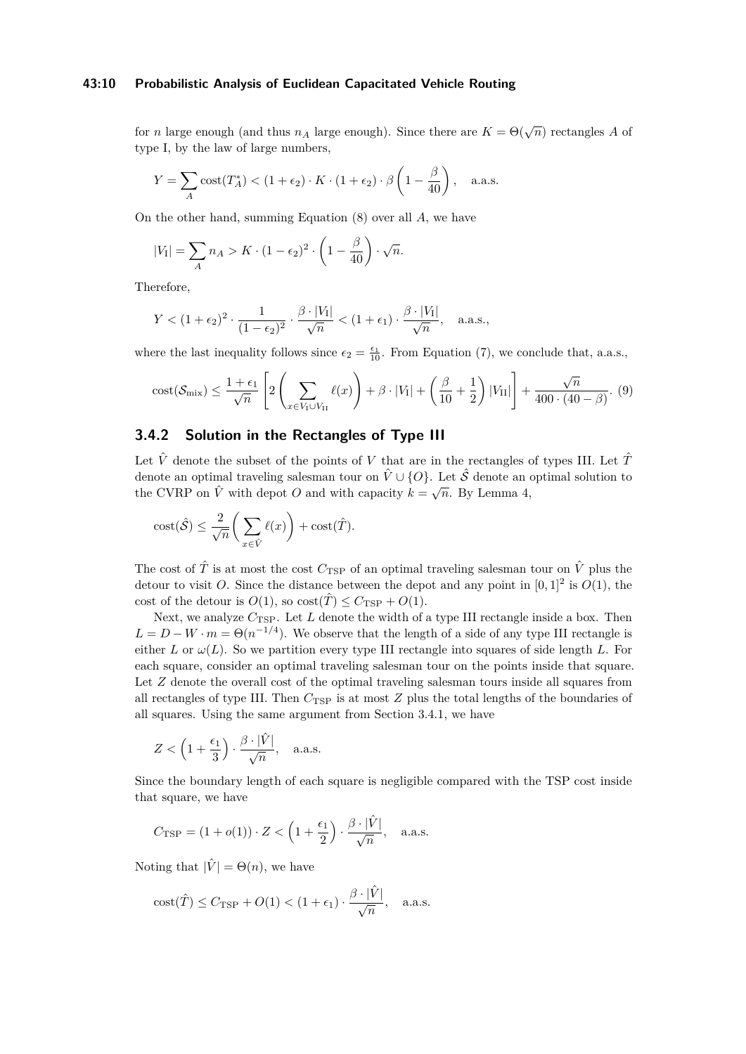### **43:10 Probabilistic Analysis of Euclidean Capacitated Vehicle Routing**

for *n* large enough (and thus  $n_A$  large enough). Since there are  $K = \Theta(\sqrt{n})$  rectangles *A* of type I, by the law of large numbers,

$$
Y = \sum_{A} \text{cost}(T_A^*) < (1 + \epsilon_2) \cdot K \cdot (1 + \epsilon_2) \cdot \beta \left(1 - \frac{\beta}{40}\right), \quad \text{a.a.s.}
$$

On the other hand, summing Equation [\(8\)](#page-8-3) over all *A*, we have

$$
|V_1| = \sum_A n_A > K \cdot (1 - \epsilon_2)^2 \cdot \left(1 - \frac{\beta}{40}\right) \cdot \sqrt{n}.
$$

Therefore,

$$
Y < (1 + \epsilon_2)^2 \cdot \frac{1}{(1 - \epsilon_2)^2} \cdot \frac{\beta \cdot |V_I|}{\sqrt{n}} < (1 + \epsilon_1) \cdot \frac{\beta \cdot |V_I|}{\sqrt{n}}, \quad \text{a.a.s.},
$$

where the last inequality follows since  $\epsilon_2 = \frac{\epsilon_1}{10}$ . From Equation [\(7\)](#page-8-4), we conclude that, a.a.s.,

<span id="page-9-0"></span>
$$
\text{cost}(\mathcal{S}_{\text{mix}}) \le \frac{1+\epsilon_1}{\sqrt{n}} \left[ 2\left(\sum_{x \in V_1 \cup V_{\text{II}}} \ell(x)\right) + \beta \cdot |V_1| + \left(\frac{\beta}{10} + \frac{1}{2}\right)|V_{\text{II}}| \right] + \frac{\sqrt{n}}{400 \cdot (40-\beta)}.\tag{9}
$$

# **3.4.2 Solution in the Rectangles of Type III**

Let  $\hat{V}$  denote the subset of the points of *V* that are in the rectangles of types III. Let  $\hat{T}$ denote an optimal traveling salesman tour on  $\hat{V} \cup \{O\}$ . Let  $\hat{S}$  denote an optimal solution to the CVRP on  $\hat{V}$  with depot *O* and with capacity  $k = \sqrt{n}$ . By Lemma [4,](#page-4-1)

$$
\mathrm{cost}(\hat{\mathcal{S}}) \le \frac{2}{\sqrt{n}} \bigg( \sum_{x \in \hat{V}} \ell(x) \bigg) + \mathrm{cost}(\hat{T}).
$$

The cost of  $\hat{T}$  is at most the cost  $C_{\text{TSP}}$  of an optimal traveling salesman tour on  $\hat{V}$  plus the detour to visit *O*. Since the distance between the depot and any point in  $[0,1]^2$  is  $O(1)$ , the cost of the detour is  $O(1)$ , so  $\text{cost}(\hat{T}) \leq C_{\text{TSP}} + O(1)$ .

Next, we analyze  $C_{\text{TSP}}$ . Let *L* denote the width of a type III rectangle inside a box. Then  $L = D - W \cdot m = \Theta(n^{-1/4})$ . We observe that the length of a side of any type III rectangle is either *L* or  $\omega(L)$ . So we partition every type III rectangle into squares of side length *L*. For each square, consider an optimal traveling salesman tour on the points inside that square. Let *Z* denote the overall cost of the optimal traveling salesman tours inside all squares from all rectangles of type III. Then  $C_{\text{TSP}}$  is at most *Z* plus the total lengths of the boundaries of all squares. Using the same argument from Section [3.4.1,](#page-8-5) we have

$$
Z < \left(1 + \frac{\epsilon_1}{3}\right) \cdot \frac{\beta \cdot |\hat{V}|}{\sqrt{n}}, \quad \text{a.a.s.}
$$

Since the boundary length of each square is negligible compared with the TSP cost inside that square, we have

$$
C_{\text{TSP}} = (1 + o(1)) \cdot Z < \left(1 + \frac{\epsilon_1}{2}\right) \cdot \frac{\beta \cdot |\hat{V}|}{\sqrt{n}}, \quad \text{a.a.s.}
$$

Noting that  $|\hat{V}| = \Theta(n)$ , we have

$$
\mathrm{cost}(\hat{T}) \leq C_{\mathrm{TSP}} + O(1) < (1 + \epsilon_1) \cdot \frac{\beta \cdot |\hat{V}|}{\sqrt{n}}, \quad \text{a.a.s.}
$$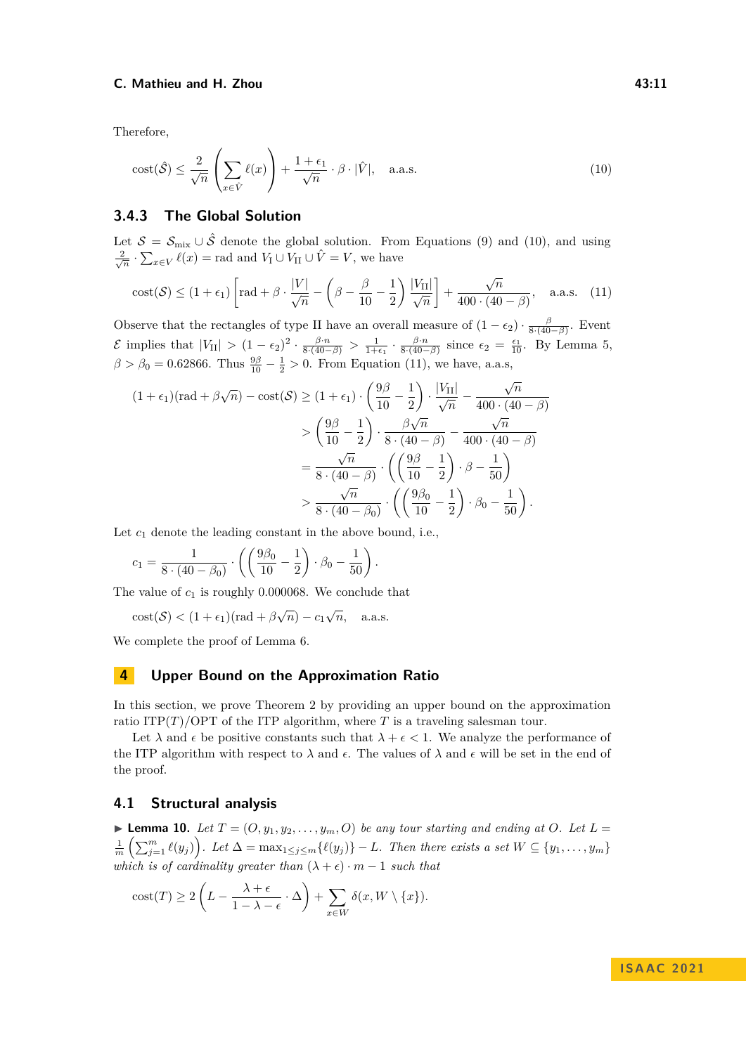Therefore,

<span id="page-10-1"></span>
$$
\text{cost}(\hat{\mathcal{S}}) \le \frac{2}{\sqrt{n}} \left( \sum_{x \in \hat{V}} \ell(x) \right) + \frac{1 + \epsilon_1}{\sqrt{n}} \cdot \beta \cdot |\hat{V}|, \quad \text{a.a.s.} \tag{10}
$$

# **3.4.3 The Global Solution**

Let  $S = S_{\text{mix}} \cup \hat{S}$  denote the global solution. From Equations [\(9\)](#page-9-0) and [\(10\)](#page-10-1), and using  $\frac{2}{\sqrt{n}} \cdot \sum_{x \in V} \ell(x) = \text{rad}$  and  $V_1 \cup V_{II} \cup \hat{V} = V$ , we have

<span id="page-10-2"></span>
$$
\text{cost}(\mathcal{S}) \le (1 + \epsilon_1) \left[ \text{rad} + \beta \cdot \frac{|V|}{\sqrt{n}} - \left( \beta - \frac{\beta}{10} - \frac{1}{2} \right) \frac{|V_{\text{II}}|}{\sqrt{n}} \right] + \frac{\sqrt{n}}{400 \cdot (40 - \beta)}, \quad \text{a.a.s.} \quad (11)
$$

Observe that the rectangles of type II have an overall measure of  $(1 - \epsilon_2) \cdot \frac{\beta}{8 \cdot (40 - \beta)}$ . Event E implies that  $|V_{II}| > (1 - \epsilon_2)^2 \cdot \frac{\beta \cdot n}{8 \cdot (40 - \beta)} > \frac{1}{1 + \epsilon_1} \cdot \frac{\beta \cdot n}{8 \cdot (40 - \beta)}$  since  $\epsilon_2 = \frac{\epsilon_1}{10}$ . By Lemma [5,](#page-4-3)  $\beta > \beta_0 = 0.62866$ . Thus  $\frac{9\beta}{10} - \frac{1}{2} > 0$ . From Equation [\(11\)](#page-10-2), we have, a.a.s, √

$$
(1 + \epsilon_1)(\text{rad} + \beta\sqrt{n}) - \text{cost}(\mathcal{S}) \ge (1 + \epsilon_1) \cdot \left(\frac{9\beta}{10} - \frac{1}{2}\right) \cdot \frac{|V_{\text{II}}|}{\sqrt{n}} - \frac{\sqrt{n}}{400 \cdot (40 - \beta)}
$$

$$
> \left(\frac{9\beta}{10} - \frac{1}{2}\right) \cdot \frac{\beta\sqrt{n}}{8 \cdot (40 - \beta)} - \frac{\sqrt{n}}{400 \cdot (40 - \beta)}
$$

$$
= \frac{\sqrt{n}}{8 \cdot (40 - \beta)} \cdot \left(\left(\frac{9\beta}{10} - \frac{1}{2}\right) \cdot \beta - \frac{1}{50}\right)
$$

$$
> \frac{\sqrt{n}}{8 \cdot (40 - \beta_0)} \cdot \left(\left(\frac{9\beta_0}{10} - \frac{1}{2}\right) \cdot \beta_0 - \frac{1}{50}\right).
$$

Let  $c_1$  denote the leading constant in the above bound, i.e.,

$$
c_1 = \frac{1}{8 \cdot (40 - \beta_0)} \cdot \left( \left( \frac{9\beta_0}{10} - \frac{1}{2} \right) \cdot \beta_0 - \frac{1}{50} \right).
$$

The value of  $c_1$  is roughly 0.000068. We conclude that

$$
cost(\mathcal{S}) < (1 + \epsilon_1)(rad + \beta\sqrt{n}) - c_1\sqrt{n}, \quad \text{a.a.s.}
$$

We complete the proof of Lemma [6.](#page-4-4)

# <span id="page-10-0"></span>**4 Upper Bound on the Approximation Ratio**

In this section, we prove Theorem [2](#page-1-3) by providing an upper bound on the approximation ratio ITP $(T)/OPT$  of the ITP algorithm, where *T* is a traveling salesman tour.

Let  $\lambda$  and  $\epsilon$  be positive constants such that  $\lambda + \epsilon < 1$ . We analyze the performance of the ITP algorithm with respect to  $\lambda$  and  $\epsilon$ . The values of  $\lambda$  and  $\epsilon$  will be set in the end of the proof.

### **4.1 Structural analysis**

<span id="page-10-3"></span> $\blacktriangleright$  **Lemma 10.** Let  $T = (O, y_1, y_2, \ldots, y_m, O)$  be any tour starting and ending at O. Let  $L =$  $\frac{1}{m}\left(\sum_{j=1}^{m}\ell(y_j)\right)$ . Let  $\Delta = \max_{1 \leq j \leq m}\{\ell(y_j)\} - L$ . Then there exists a set  $W \subseteq \{y_1, \ldots, y_m\}$ *which is of cardinality greater than*  $(\lambda + \epsilon) \cdot m - 1$  *such that* 

$$
cost(T) \ge 2\left(L - \frac{\lambda + \epsilon}{1 - \lambda - \epsilon} \cdot \Delta\right) + \sum_{x \in W} \delta(x, W \setminus \{x\}).
$$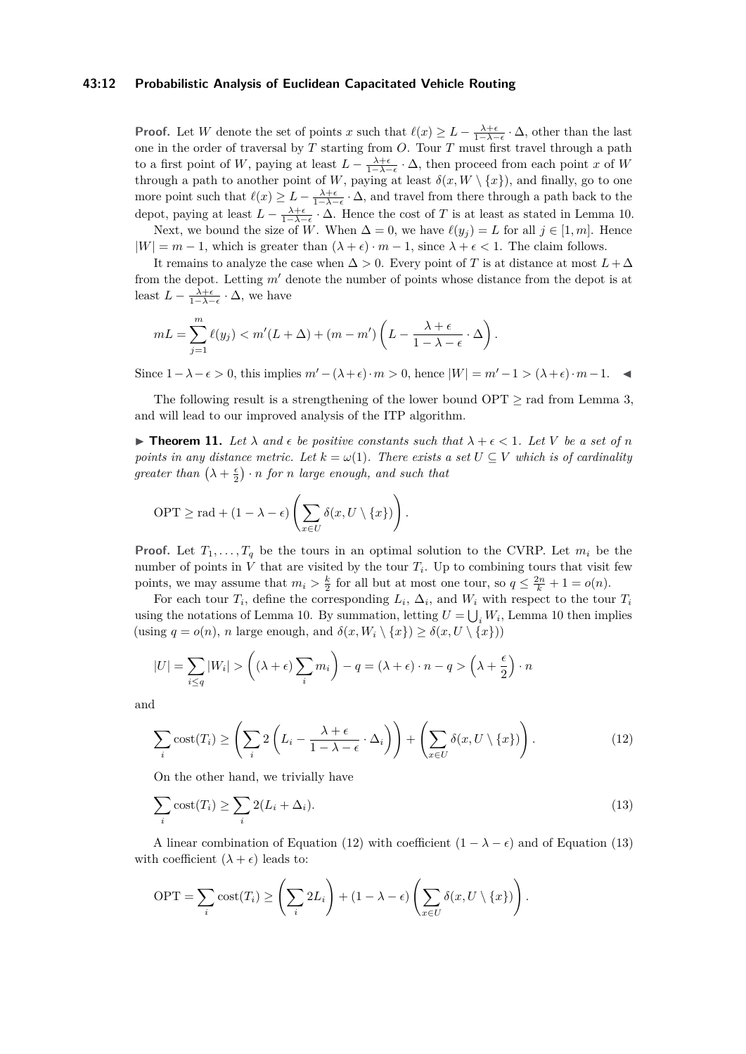### **43:12 Probabilistic Analysis of Euclidean Capacitated Vehicle Routing**

**Proof.** Let *W* denote the set of points *x* such that  $\ell(x) \geq L - \frac{\lambda + \epsilon}{1 - \lambda - \epsilon} \cdot \Delta$ , other than the last one in the order of traversal by *T* starting from *O*. Tour *T* must first travel through a path to a first point of *W*, paying at least  $L - \frac{\lambda + \epsilon}{1 - \lambda - \epsilon} \cdot \Delta$ , then proceed from each point *x* of *W* through a path to another point of *W*, paying at least  $\delta(x, W \setminus \{x\})$ , and finally, go to one more point such that  $\ell(x) \geq L - \frac{\lambda + \epsilon}{1 - \lambda - \epsilon} \cdot \Delta$ , and travel from there through a path back to the depot, paying at least  $L - \frac{\lambda + \epsilon}{1 - \lambda - \epsilon} \cdot \Delta$ . Hence the cost of *T* is at least as stated in Lemma [10.](#page-10-3)

Next, we bound the size of  $\tilde{W}$ . When  $\Delta = 0$ , we have  $\ell(y_j) = L$  for all  $j \in [1, m]$ . Hence  $|W| = m - 1$ , which is greater than  $(\lambda + \epsilon) \cdot m - 1$ , since  $\lambda + \epsilon < 1$ . The claim follows.

It remains to analyze the case when  $\Delta > 0$ . Every point of *T* is at distance at most  $L + \Delta$ from the depot. Letting *m*′ denote the number of points whose distance from the depot is at least  $L - \frac{\lambda + \epsilon}{1 - \lambda - \epsilon} \cdot \Delta$ , we have

$$
mL = \sum_{j=1}^{m} \ell(y_j) < m'(L+\Delta) + (m-m')\left(L - \frac{\lambda + \epsilon}{1 - \lambda - \epsilon} \cdot \Delta\right).
$$

Since  $1 - \lambda - \epsilon > 0$ , this implies  $m' - (\lambda + \epsilon) \cdot m > 0$ , hence  $|W| = m' - 1 > (\lambda + \epsilon) \cdot m - 1$ .

The following result is a strengthening of the lower bound  $OPT \geq rad$  from Lemma [3,](#page-3-0) and will lead to our improved analysis of the ITP algorithm.

<span id="page-11-0"></span>**► Theorem 11.** Let  $\lambda$  and  $\epsilon$  be positive constants such that  $\lambda + \epsilon < 1$ . Let V be a set of n *points in any distance metric. Let*  $k = \omega(1)$ *. There exists a set*  $U \subseteq V$  *which is of cardinality*  $\int$ *greater than*  $\left(\lambda + \frac{\epsilon}{2}\right) \cdot n$  *for n large enough, and such that* 

$$
\text{OPT} \geq \text{rad} + (1 - \lambda - \epsilon) \left( \sum_{x \in U} \delta(x, U \setminus \{x\}) \right).
$$

**Proof.** Let  $T_1, \ldots, T_q$  be the tours in an optimal solution to the CVRP. Let  $m_i$  be the number of points in  $V$  that are visited by the tour  $T_i$ . Up to combining tours that visit few points, we may assume that  $m_i > \frac{k}{2}$  for all but at most one tour, so  $q \leq \frac{2n}{k} + 1 = o(n)$ .

For each tour  $T_i$ , define the corresponding  $L_i$ ,  $\Delta_i$ , and  $W_i$  with respect to the tour  $T_i$ using the notations of Lemma [10.](#page-10-3) By summation, letting  $U = \bigcup_i W_i$ , Lemma [10](#page-10-3) then implies (using  $q = o(n)$ , *n* large enough, and  $\delta(x, W_i \setminus \{x\}) \geq \delta(x, U \setminus \{x\})$ )

$$
|U| = \sum_{i \le q} |W_i| > \left( (\lambda + \epsilon) \sum_i m_i \right) - q = (\lambda + \epsilon) \cdot n - q > \left( \lambda + \frac{\epsilon}{2} \right) \cdot n
$$

<span id="page-11-1"></span>and

$$
\sum_{i} \text{cost}(T_i) \ge \left(\sum_{i} 2\left(L_i - \frac{\lambda + \epsilon}{1 - \lambda - \epsilon} \cdot \Delta_i\right)\right) + \left(\sum_{x \in U} \delta(x, U \setminus \{x\})\right). \tag{12}
$$

<span id="page-11-2"></span>On the other hand, we trivially have

$$
\sum_{i} \text{cost}(T_i) \ge \sum_{i} 2(L_i + \Delta_i). \tag{13}
$$

A linear combination of Equation [\(12\)](#page-11-1) with coefficient  $(1 - \lambda - \epsilon)$  and of Equation [\(13\)](#page-11-2) with coefficient  $(\lambda + \epsilon)$  leads to:

$$
\text{OPT} = \sum_{i} \text{cost}(T_i) \ge \left(\sum_{i} 2L_i\right) + (1 - \lambda - \epsilon) \left(\sum_{x \in U} \delta(x, U \setminus \{x\})\right).
$$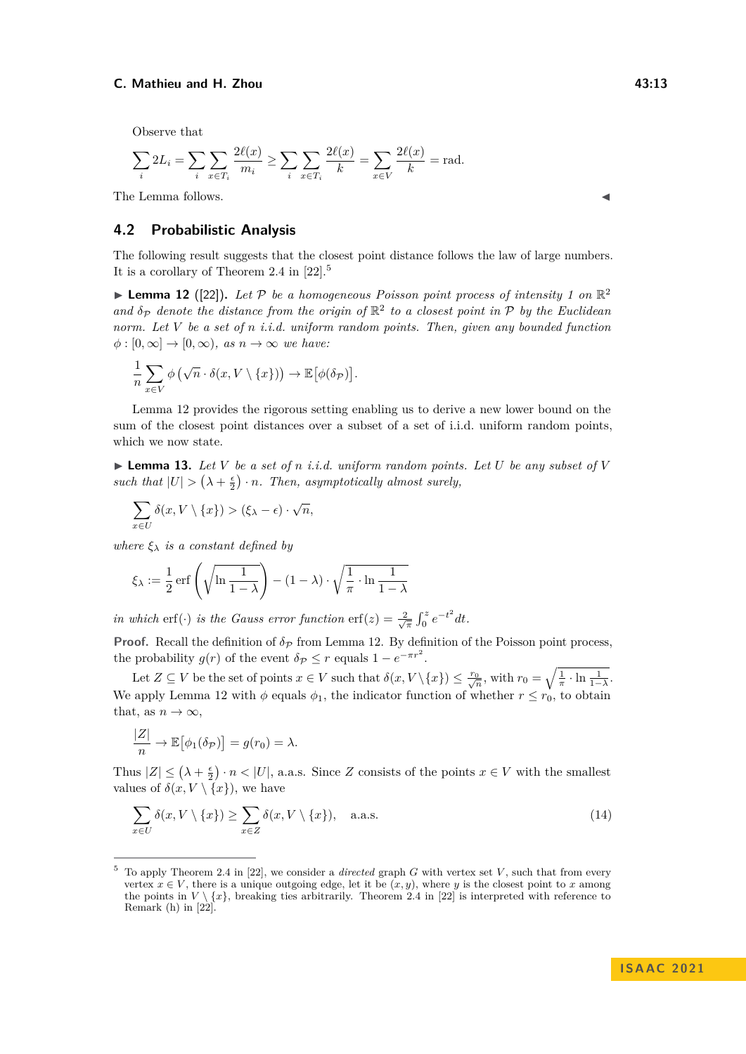Observe that

$$
\sum_{i} 2L_i = \sum_{i} \sum_{x \in T_i} \frac{2\ell(x)}{m_i} \ge \sum_{i} \sum_{x \in T_i} \frac{2\ell(x)}{k} = \sum_{x \in V} \frac{2\ell(x)}{k} = \text{rad}.
$$

The Lemma follows.

# **4.2 Probabilistic Analysis**

The following result suggests that the closest point distance follows the law of large numbers. It is a corollary of Theorem 2.4 in [\[22\]](#page-15-18).[5](#page-12-0)

<span id="page-12-1"></span>**Lemma 12** ([\[22\]](#page-15-18)). Let P be a homogeneous Poisson point process of intensity 1 on  $\mathbb{R}^2$ and  $\delta_P$  denote the distance from the origin of  $\mathbb{R}^2$  to a closest point in P by the Euclidean *norm. Let V be a set of n i.i.d. uniform random points. Then, given any bounded function*  $\phi : [0, \infty] \to [0, \infty)$ *, as*  $n \to \infty$  *we have:* 

$$
\frac{1}{n}\sum_{x\in V}\phi\left(\sqrt{n}\cdot\delta(x,V\setminus\{x\})\right)\to\mathbb{E}\big[\phi(\delta_{\mathcal{P}})\big].
$$

Lemma [12](#page-12-1) provides the rigorous setting enabling us to derive a new lower bound on the sum of the closest point distances over a subset of a set of i.i.d. uniform random points, which we now state.

<span id="page-12-2"></span> $\blacktriangleright$  **Lemma 13.** Let V be a set of *n i.i.d.* uniform random points. Let U be any subset of V such that  $|U| > (\lambda + \frac{\epsilon}{2}) \cdot n$ . Then, asymptotically almost surely,

$$
\sum_{x \in U} \delta(x, V \setminus \{x\}) > (\xi_{\lambda} - \epsilon) \cdot \sqrt{n},
$$

*where*  $\xi_{\lambda}$  *is a constant defined by* 

$$
\xi_{\lambda} := \frac{1}{2} \operatorname{erf}\left(\sqrt{\ln \frac{1}{1-\lambda}}\right) - (1-\lambda) \cdot \sqrt{\frac{1}{\pi} \cdot \ln \frac{1}{1-\lambda}}
$$

*in which* erf(·) *is the Gauss error function* erf(*z*) =  $\frac{2}{\sqrt{\pi}} \int_0^z e^{-t^2} dt$ .

**Proof.** Recall the definition of  $\delta_P$  from Lemma [12.](#page-12-1) By definition of the Poisson point process, the probability  $g(r)$  of the event  $\delta \rho \leq r$  equals  $1 - e^{-\pi r^2}$ .

Let  $Z \subseteq V$  be the set of points  $x \in V$  such that  $\delta(x, V \setminus \{x\}) \leq \frac{r_0}{\sqrt{n}}$ , with  $r_0 = \sqrt{\frac{1}{\pi} \cdot \ln \frac{1}{1-\lambda}}$ . We apply Lemma [12](#page-12-1) with  $\phi$  equals  $\phi_1$ , the indicator function of whether  $r \leq r_0$ , to obtain that, as  $n \to \infty$ ,

$$
\frac{|Z|}{n} \to \mathbb{E}[\phi_1(\delta_{\mathcal{P}})] = g(r_0) = \lambda.
$$

Thus  $|Z| \leq (\lambda + \frac{\epsilon}{2}) \cdot n < |U|$ , a.a.s. Since *Z* consists of the points  $x \in V$  with the smallest values of  $\delta(x, V \setminus \{x\})$ , we have

$$
\sum_{x \in U} \delta(x, V \setminus \{x\}) \ge \sum_{x \in Z} \delta(x, V \setminus \{x\}), \quad \text{a.a.s.} \tag{14}
$$

<span id="page-12-0"></span><sup>5</sup> To apply Theorem 2.4 in [\[22\]](#page-15-18), we consider a *directed* graph *G* with vertex set *V* , such that from every vertex  $x \in V$ , there is a unique outgoing edge, let it be  $(x, y)$ , where *y* is the closest point to *x* among the points in  $V \setminus \{x\}$ , breaking ties arbitrarily. Theorem 2.4 in [\[22\]](#page-15-18) is interpreted with reference to Remark (h) in [\[22\]](#page-15-18).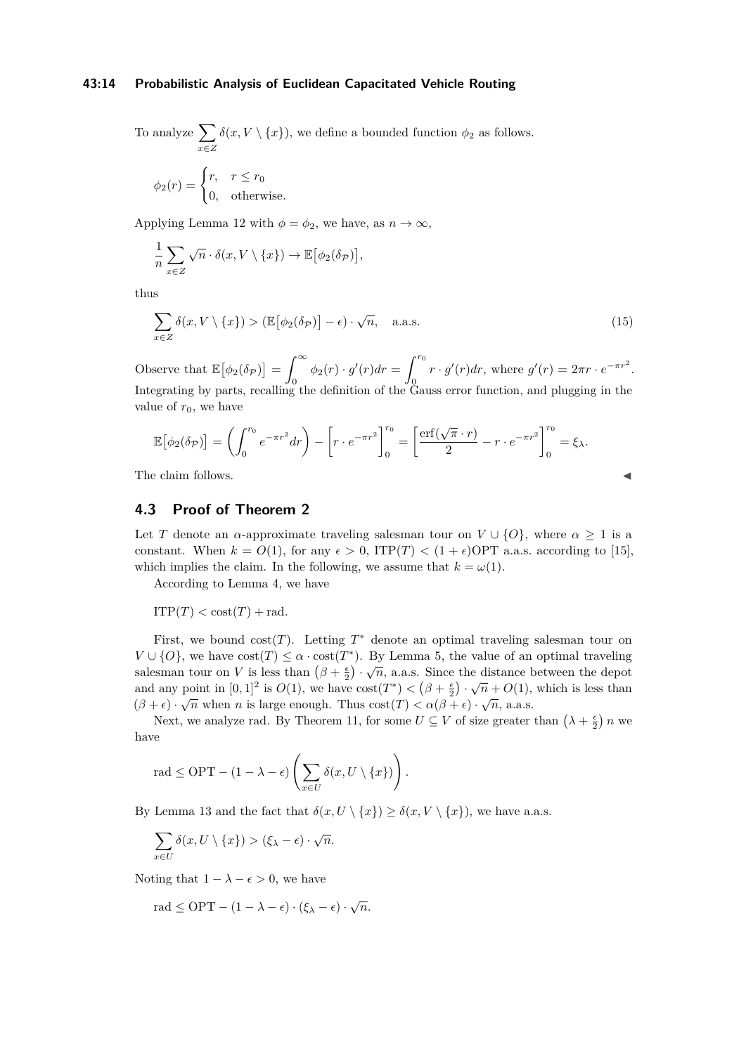### **43:14 Probabilistic Analysis of Euclidean Capacitated Vehicle Routing**

To analyze  $\sum$ *x*∈*Z*  $\delta(x, V \setminus \{x\})$ , we define a bounded function  $\phi_2$  as follows.

$$
\phi_2(r) = \begin{cases} r, & r \le r_0 \\ 0, & \text{otherwise.} \end{cases}
$$

Applying Lemma [12](#page-12-1) with  $\phi = \phi_2$ , we have, as  $n \to \infty$ ,

$$
\frac{1}{n} \sum_{x \in Z} \sqrt{n} \cdot \delta(x, V \setminus \{x\}) \to \mathbb{E}[\phi_2(\delta_{\mathcal{P}})],
$$

thus

$$
\sum_{x \in Z} \delta(x, V \setminus \{x\}) > (\mathbb{E}[\phi_2(\delta_{\mathcal{P}})] - \epsilon) \cdot \sqrt{n}, \quad \text{a.a.s.}
$$
\n(15)

Observe that  $\mathbb{E}[\phi_2(\delta_{\mathcal{P}})] = \int_{-\infty}^{\infty}$  $\int_{0}^{\infty} \phi_{2}(r) \cdot g'(r) dr = \int_{0}^{r_{0}}$  $\overline{0}$  $r \cdot g'(r) dr$ , where  $g'(r) = 2\pi r \cdot e^{-\pi r^2}$ . Integrating by parts, recalling the definition of the Gauss error function, and plugging in the value of  $r_0$ , we have

$$
\mathbb{E}[\phi_2(\delta_{\mathcal{P}})] = \left(\int_0^{r_0} e^{-\pi r^2} dr\right) - \left[r \cdot e^{-\pi r^2}\right]_0^{r_0} = \left[\frac{\text{erf}(\sqrt{\pi} \cdot r)}{2} - r \cdot e^{-\pi r^2}\right]_0^{r_0} = \xi_{\lambda}.
$$

The claim follows.

# **4.3 Proof of Theorem [2](#page-1-3)**

Let *T* denote an *α*-approximate traveling salesman tour on  $V \cup \{O\}$ , where  $\alpha \geq 1$  is a constant. When  $k = O(1)$ , for any  $\epsilon > 0$ , ITP(*T*)  $\lt (1 + \epsilon)$ OPT a.a.s. according to [\[15\]](#page-15-0), which implies the claim. In the following, we assume that  $k = \omega(1)$ .

According to Lemma [4,](#page-4-1) we have

 $ITP(T) < \text{cost}(T) + \text{rad}$ .

First, we bound  $cost(T)$ . Letting  $T^*$  denote an optimal traveling salesman tour on  $V \cup \{O\}$ , we have  $cost(T) \leq \alpha \cdot cost(T^*)$ . By Lemma [5,](#page-4-3) the value of an optimal traveling salesman tour on *V* is less than  $(\beta + \frac{\epsilon}{2}) \cdot \sqrt{n}$ , a.a.s. Since the distance between the depot and any point in  $[0,1]^2$  is  $O(1)$ , we have  $\cos t(T^*) < (\beta + \frac{\epsilon}{2}) \cdot \sqrt{n} + O(1)$ , which is less than  $(\beta + \epsilon) \cdot \sqrt{n}$  when *n* is large enough. Thus  $\cos t(T) < \alpha(\beta + \epsilon) \cdot \sqrt{n}$ , a.a.s.

Next, we analyze rad. By Theorem [11,](#page-11-0) for some  $U \subseteq V$  of size greater than  $(\lambda + \frac{\epsilon}{2})n$  we have

$$
\text{rad} \le \text{OPT} - (1 - \lambda - \epsilon) \left( \sum_{x \in U} \delta(x, U \setminus \{x\}) \right).
$$

By Lemma [13](#page-12-2) and the fact that  $\delta(x, U \setminus \{x\}) \geq \delta(x, V \setminus \{x\})$ , we have a.a.s.

$$
\sum_{x\in U} \delta(x, U \setminus \{x\}) > (\xi_{\lambda} - \epsilon) \cdot \sqrt{n}.
$$

Noting that  $1 - \lambda - \epsilon > 0$ , we have

$$
rad \le OPT - (1 - \lambda - \epsilon) \cdot (\xi_{\lambda} - \epsilon) \cdot \sqrt{n}.
$$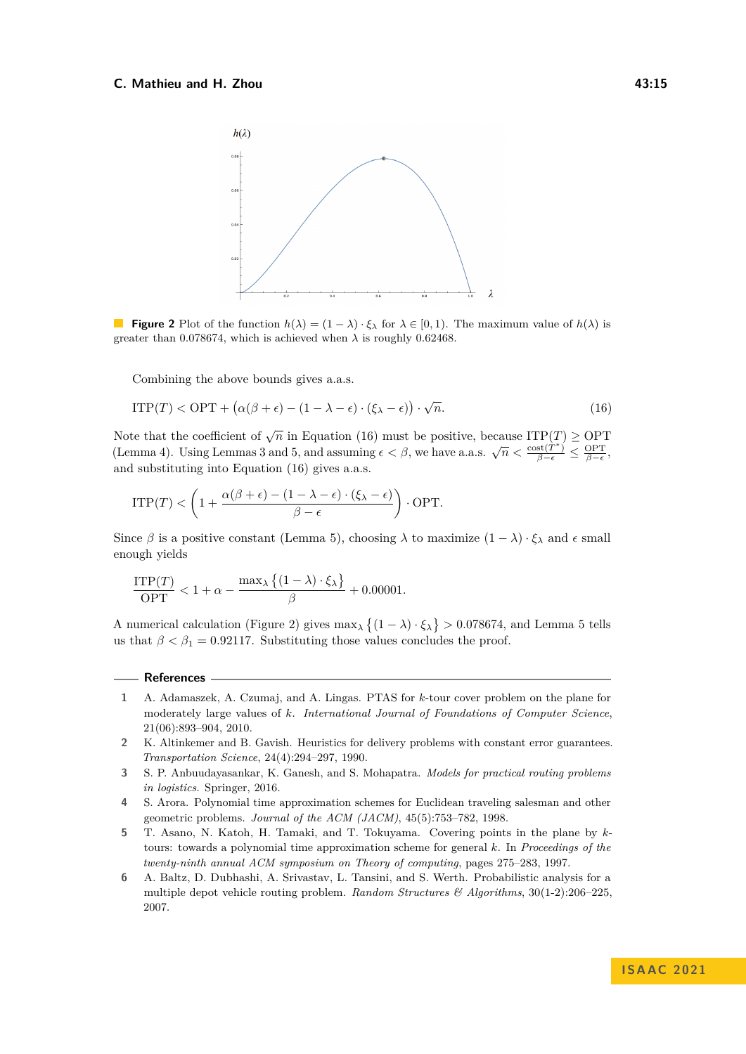<span id="page-14-7"></span>

**Figure 2** Plot of the function  $h(\lambda) = (1 - \lambda) \cdot \xi_{\lambda}$  for  $\lambda \in [0, 1)$ . The maximum value of  $h(\lambda)$  is greater than 0.078674, which is achieved when  $\lambda$  is roughly 0.62468.

<span id="page-14-6"></span>Combining the above bounds gives a.a.s.

$$
\text{ITP}(T) < \text{OPT} + \left(\alpha(\beta + \epsilon) - (1 - \lambda - \epsilon) \cdot (\xi_{\lambda} - \epsilon)\right) \cdot \sqrt{n}.\tag{16}
$$

Note that the coefficient of  $\sqrt{n}$  in Equation [\(16\)](#page-14-6) must be positive, because ITP(*T*)  $\ge$  OPT (Lemma [4\)](#page-4-1). Using Lemmas [3](#page-3-0) and [5,](#page-4-3) and assuming  $\epsilon < \beta$ , we have a.a.s.  $\sqrt{n} < \frac{\text{cost}(T^*)}{\beta - \epsilon} \le \frac{\text{OPT}}{\beta - \epsilon}$ , and substituting into Equation [\(16\)](#page-14-6) gives a.a.s.

$$
\text{ITP}(T) < \left(1 + \frac{\alpha(\beta + \epsilon) - (1 - \lambda - \epsilon) \cdot (\xi_\lambda - \epsilon)}{\beta - \epsilon}\right) \cdot \text{OPT}.
$$

Since  $\beta$  is a positive constant (Lemma [5\)](#page-4-3), choosing  $\lambda$  to maximize  $(1 - \lambda) \cdot \xi_{\lambda}$  and  $\epsilon$  small enough yields

$$
\frac{\text{ITP}(T)}{\text{OPT}} < 1 + \alpha - \frac{\max_{\lambda} \left\{ (1 - \lambda) \cdot \xi_{\lambda} \right\}}{\beta} + 0.00001.
$$

A numerical calculation (Figure [2\)](#page-14-7) gives  $\max_{\lambda} \{(1 - \lambda) \cdot \xi_{\lambda}\} > 0.078674$ , and Lemma [5](#page-4-3) tells us that  $\beta < \beta_1 = 0.92117$ . Substituting those values concludes the proof.

### **References**

- <span id="page-14-4"></span>**1** A. Adamaszek, A. Czumaj, and A. Lingas. PTAS for *k*-tour cover problem on the plane for moderately large values of *k*. *International Journal of Foundations of Computer Science*, 21(06):893–904, 2010.
- <span id="page-14-2"></span>**2** K. Altinkemer and B. Gavish. Heuristics for delivery problems with constant error guarantees. *Transportation Science*, 24(4):294–297, 1990.
- <span id="page-14-0"></span>**3** S. P. Anbuudayasankar, K. Ganesh, and S. Mohapatra. *Models for practical routing problems in logistics*. Springer, 2016.
- <span id="page-14-3"></span>**4** S. Arora. Polynomial time approximation schemes for Euclidean traveling salesman and other geometric problems. *Journal of the ACM (JACM)*, 45(5):753–782, 1998.
- <span id="page-14-1"></span>**5** T. Asano, N. Katoh, H. Tamaki, and T. Tokuyama. Covering points in the plane by *k*tours: towards a polynomial time approximation scheme for general *k*. In *Proceedings of the twenty-ninth annual ACM symposium on Theory of computing*, pages 275–283, 1997.
- <span id="page-14-5"></span>**6** A. Baltz, D. Dubhashi, A. Srivastav, L. Tansini, and S. Werth. Probabilistic analysis for a multiple depot vehicle routing problem. *Random Structures & Algorithms*, 30(1-2):206–225, 2007.